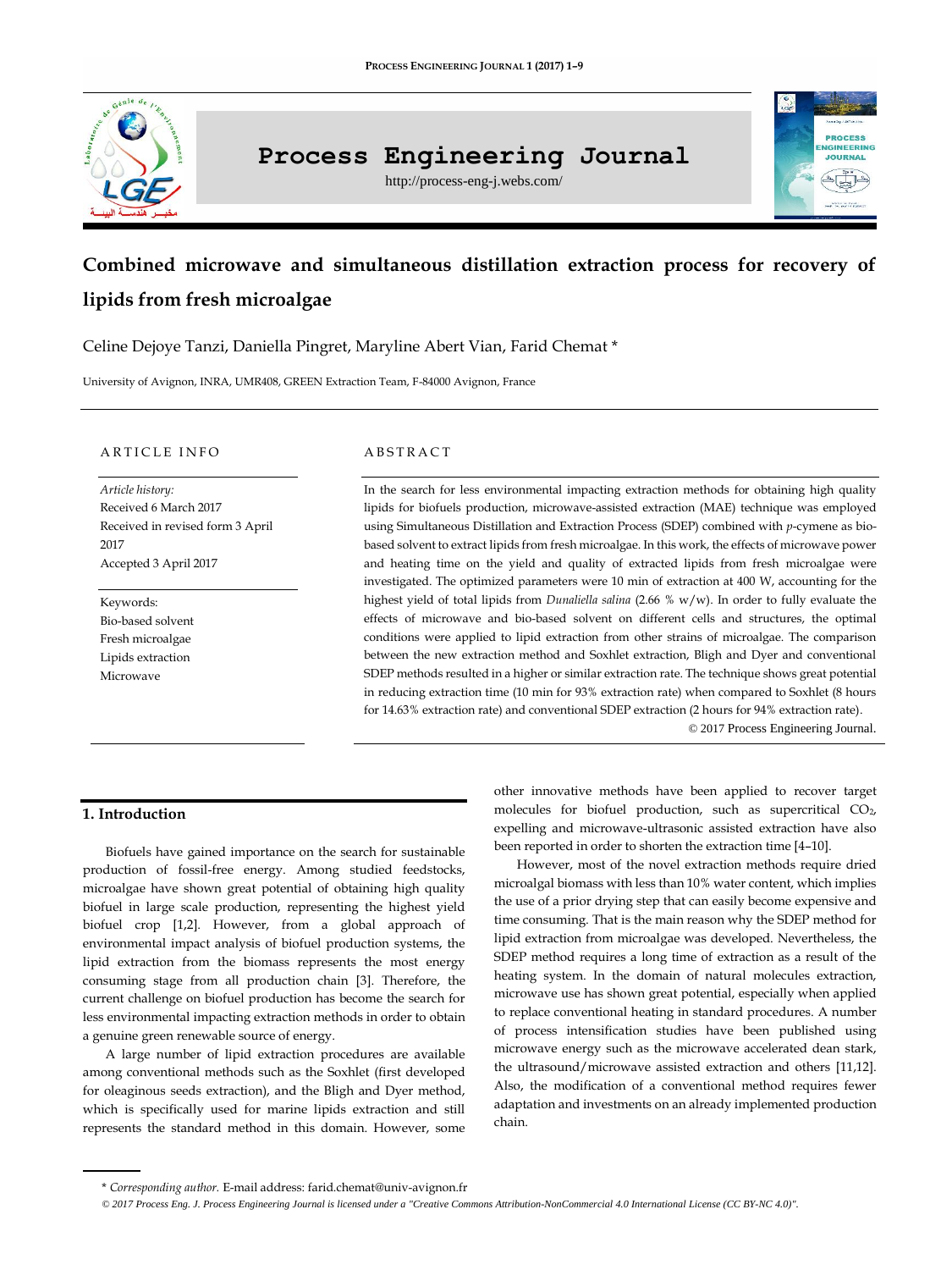

# **Process Engineering Journal**

http://process-eng-j.webs.com/



# **Combined microwave and simultaneous distillation extraction process for recovery of lipids from fresh microalgae**

Celine Dejoye Tanzi, Daniella Pingret, Maryline Abert Vian, Farid Chemat \*

University of Avignon, INRA, UMR408, GREEN Extraction Team, F-84000 Avignon, France

#### ARTICLE INFO

*Article history:* Received 6 March 2017 Received in revised form 3 April 2017 Accepted 3 April 2017

Keywords: Bio-based solvent Fresh microalgae Lipids extraction Microwave

#### **ABSTRACT**

In the search for less environmental impacting extraction methods for obtaining high quality lipids for biofuels production, microwave-assisted extraction (MAE) technique was employed using Simultaneous Distillation and Extraction Process (SDEP) combined with *p*-cymene as biobased solvent to extract lipids from fresh microalgae. In this work, the effects of microwave power and heating time on the yield and quality of extracted lipids from fresh microalgae were investigated. The optimized parameters were 10 min of extraction at 400 W, accounting for the highest yield of total lipids from *Dunaliella salina* (2.66 % w/w). In order to fully evaluate the effects of microwave and bio-based solvent on different cells and structures, the optimal conditions were applied to lipid extraction from other strains of microalgae. The comparison between the new extraction method and Soxhlet extraction, Bligh and Dyer and conventional SDEP methods resulted in a higher or similar extraction rate. The technique shows great potential in reducing extraction time (10 min for 93% extraction rate) when compared to Soxhlet (8 hours for 14.63% extraction rate) and conventional SDEP extraction (2 hours for 94% extraction rate).

© 2017 Process Engineering Journal.

# **1. Introduction**

Biofuels have gained importance on the search for sustainable production of fossil-free energy. Among studied feedstocks, microalgae have shown great potential of obtaining high quality biofuel in large scale production, representing the highest yield biofuel crop [1,2]. However, from a global approach of environmental impact analysis of biofuel production systems, the lipid extraction from the biomass represents the most energy consuming stage from all production chain [3]. Therefore, the current challenge on biofuel production has become the search for less environmental impacting extraction methods in order to obtain a genuine green renewable source of energy.

A large number of lipid extraction procedures are available among conventional methods such as the Soxhlet (first developed for oleaginous seeds extraction), and the Bligh and Dyer method, which is specifically used for marine lipids extraction and still represents the standard method in this domain. However, some other innovative methods have been applied to recover target molecules for biofuel production, such as supercritical CO2, expelling and microwave-ultrasonic assisted extraction have also been reported in order to shorten the extraction time [4–10].

However, most of the novel extraction methods require dried microalgal biomass with less than 10% water content, which implies the use of a prior drying step that can easily become expensive and time consuming. That is the main reason why the SDEP method for lipid extraction from microalgae was developed. Nevertheless, the SDEP method requires a long time of extraction as a result of the heating system. In the domain of natural molecules extraction, microwave use has shown great potential, especially when applied to replace conventional heating in standard procedures. A number of process intensification studies have been published using microwave energy such as the microwave accelerated dean stark, the ultrasound/microwave assisted extraction and others [11,12]. Also, the modification of a conventional method requires fewer adaptation and investments on an already implemented production chain.

<sup>\*</sup> *Corresponding author.* E-mail address[: farid.chemat@univ-avignon.fr](mailto:farid.chemat@univ-avignon.fr)

*<sup>©</sup> 2017 Process Eng. J. Process Engineering Journal is licensed under [a "Creative Commons Attribution-NonCommercial 4.0 International License \(CC BY-NC 4.0\)".](https://creativecommons.org/licenses/by-nc/4.0/)*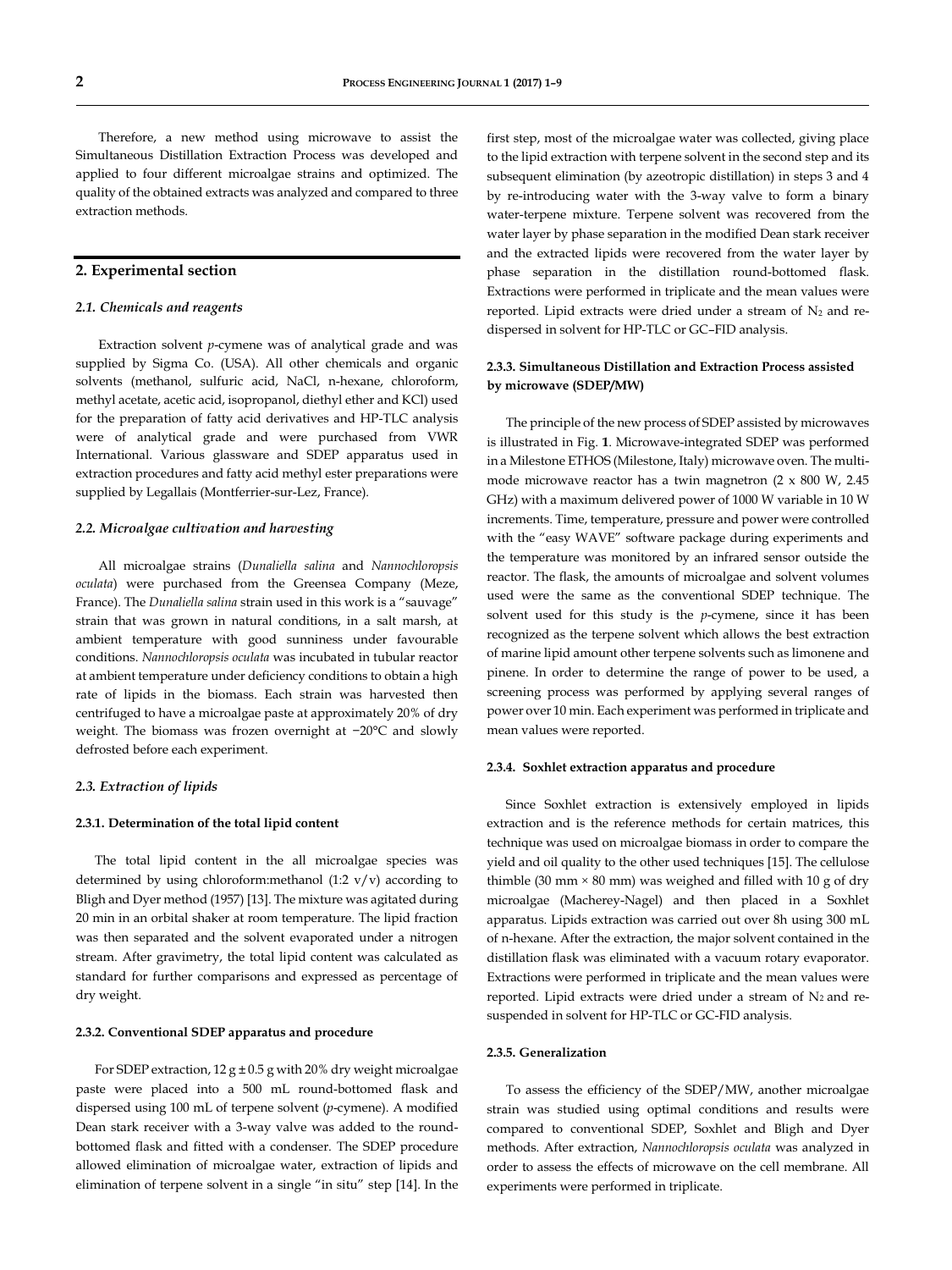Therefore, a new method using microwave to assist the Simultaneous Distillation Extraction Process was developed and applied to four different microalgae strains and optimized. The quality of the obtained extracts was analyzed and compared to three extraction methods.

# **2. Experimental section**

## *2.1. Chemicals and reagents*

Extraction solvent *p*-cymene was of analytical grade and was supplied by Sigma Co. (USA). All other chemicals and organic solvents (methanol, sulfuric acid, NaCl, n-hexane, chloroform, methyl acetate, acetic acid, isopropanol, diethyl ether and KCl) used for the preparation of fatty acid derivatives and HP-TLC analysis were of analytical grade and were purchased from VWR International. Various glassware and SDEP apparatus used in extraction procedures and fatty acid methyl ester preparations were supplied by Legallais (Montferrier-sur-Lez, France).

### *2.2. Microalgae cultivation and harvesting*

All microalgae strains (*Dunaliella salina* and *Nannochloropsis oculata*) were purchased from the Greensea Company (Meze, France). The *Dunaliella salina* strain used in this work is a "sauvage" strain that was grown in natural conditions, in a salt marsh, at ambient temperature with good sunniness under favourable conditions. *Nannochloropsis oculata* was incubated in tubular reactor at ambient temperature under deficiency conditions to obtain a high rate of lipids in the biomass. Each strain was harvested then centrifuged to have a microalgae paste at approximately 20% of dry weight. The biomass was frozen overnight at −20°C and slowly defrosted before each experiment.

#### *2.3. Extraction of lipids*

#### **2.3.1. Determination of the total lipid content**

The total lipid content in the all microalgae species was determined by using chloroform:methanol (1:2 v/v) according to Bligh and Dyer method (1957) [13]. The mixture was agitated during 20 min in an orbital shaker at room temperature. The lipid fraction was then separated and the solvent evaporated under a nitrogen stream. After gravimetry, the total lipid content was calculated as standard for further comparisons and expressed as percentage of dry weight.

#### **2.3.2. Conventional SDEP apparatus and procedure**

For SDEP extraction, 12  $g \pm 0.5$  g with 20% dry weight microalgae paste were placed into a 500 mL round-bottomed flask and dispersed using 100 mL of terpene solvent (*p*-cymene). A modified Dean stark receiver with a 3-way valve was added to the roundbottomed flask and fitted with a condenser. The SDEP procedure allowed elimination of microalgae water, extraction of lipids and elimination of terpene solvent in a single "in situ" step [14]. In the

first step, most of the microalgae water was collected, giving place to the lipid extraction with terpene solvent in the second step and its subsequent elimination (by azeotropic distillation) in steps 3 and 4 by re-introducing water with the 3-way valve to form a binary water-terpene mixture. Terpene solvent was recovered from the water layer by phase separation in the modified Dean stark receiver and the extracted lipids were recovered from the water layer by phase separation in the distillation round-bottomed flask. Extractions were performed in triplicate and the mean values were reported. Lipid extracts were dried under a stream of  $N_2$  and redispersed in solvent for HP-TLC or GC–FID analysis.

# **2.3.3. Simultaneous Distillation and Extraction Process assisted by microwave (SDEP/MW)**

The principle of the new process of SDEP assisted by microwaves is illustrated in Fig. **1**. Microwave-integrated SDEP was performed in a Milestone ETHOS (Milestone, Italy) microwave oven. The multimode microwave reactor has a twin magnetron (2 x 800 W, 2.45 GHz) with a maximum delivered power of 1000 W variable in 10 W increments. Time, temperature, pressure and power were controlled with the "easy WAVE" software package during experiments and the temperature was monitored by an infrared sensor outside the reactor. The flask, the amounts of microalgae and solvent volumes used were the same as the conventional SDEP technique. The solvent used for this study is the *p*-cymene, since it has been recognized as the terpene solvent which allows the best extraction of marine lipid amount other terpene solvents such as limonene and pinene. In order to determine the range of power to be used, a screening process was performed by applying several ranges of power over 10 min. Each experiment was performed in triplicate and mean values were reported.

### **2.3.4. Soxhlet extraction apparatus and procedure**

Since Soxhlet extraction is extensively employed in lipids extraction and is the reference methods for certain matrices, this technique was used on microalgae biomass in order to compare the yield and oil quality to the other used techniques [15]. The cellulose thimble (30 mm  $\times$  80 mm) was weighed and filled with 10 g of dry microalgae (Macherey-Nagel) and then placed in a Soxhlet apparatus. Lipids extraction was carried out over 8h using 300 mL of n-hexane. After the extraction, the major solvent contained in the distillation flask was eliminated with a vacuum rotary evaporator. Extractions were performed in triplicate and the mean values were reported. Lipid extracts were dried under a stream of  $N_2$  and resuspended in solvent for HP-TLC or GC-FID analysis.

#### **2.3.5. Generalization**

To assess the efficiency of the SDEP/MW, another microalgae strain was studied using optimal conditions and results were compared to conventional SDEP, Soxhlet and Bligh and Dyer methods. After extraction, *Nannochloropsis oculata* was analyzed in order to assess the effects of microwave on the cell membrane. All experiments were performed in triplicate.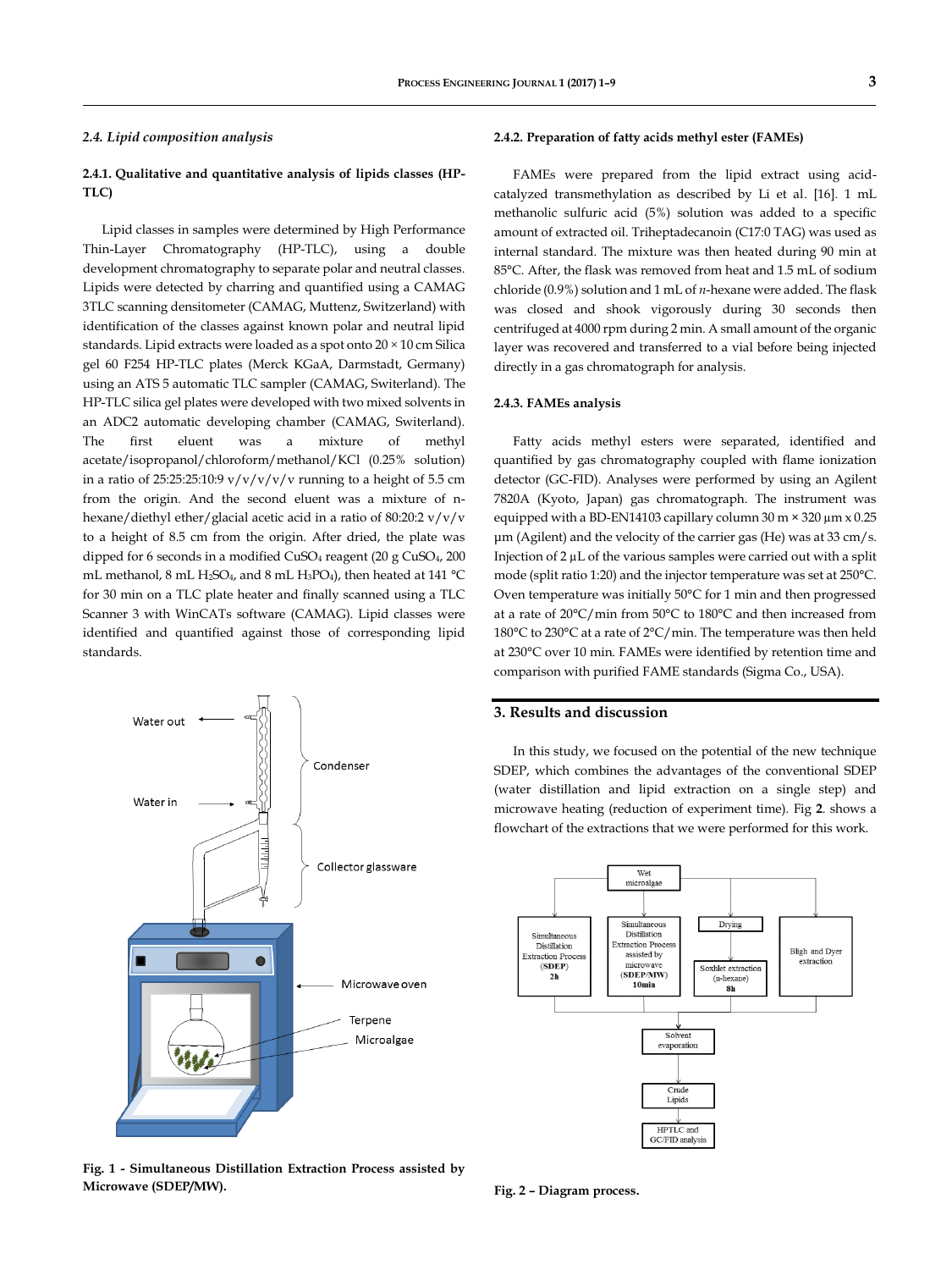#### *2.4. Lipid composition analysis*

# **2.4.1. Qualitative and quantitative analysis of lipids classes (HP-TLC)**

Lipid classes in samples were determined by High Performance Thin-Layer Chromatography (HP-TLC), using a double development chromatography to separate polar and neutral classes. Lipids were detected by charring and quantified using a CAMAG 3TLC scanning densitometer (CAMAG, Muttenz, Switzerland) with identification of the classes against known polar and neutral lipid standards. Lipid extracts were loaded as a spot onto  $20 \times 10$  cm Silica gel 60 F254 HP-TLC plates (Merck KGaA, Darmstadt, Germany) using an ATS 5 automatic TLC sampler (CAMAG, Switerland). The HP-TLC silica gel plates were developed with two mixed solvents in an ADC2 automatic developing chamber (CAMAG, Switerland). The first eluent was a mixture of methyl acetate/isopropanol/chloroform/methanol/KCl (0.25% solution) in a ratio of 25:25:25:10:9  $v/v/v/v/v$  running to a height of 5.5 cm from the origin. And the second eluent was a mixture of nhexane/diethyl ether/glacial acetic acid in a ratio of 80:20:2 v/v/v to a height of 8.5 cm from the origin. After dried, the plate was dipped for 6 seconds in a modified CuSO<sup>4</sup> reagent (20 g CuSO4, 200 mL methanol, 8 mL H<sub>2</sub>SO<sub>4</sub>, and 8 mL H<sub>3</sub>PO<sub>4</sub>), then heated at 141 °C for 30 min on a TLC plate heater and finally scanned using a TLC Scanner 3 with WinCATs software (CAMAG). Lipid classes were identified and quantified against those of corresponding lipid standards.



**Fig. 1 - Simultaneous Distillation Extraction Process assisted by Microwave (SDEP/MW).**

### **2.4.2. Preparation of fatty acids methyl ester (FAMEs)**

FAMEs were prepared from the lipid extract using acidcatalyzed transmethylation as described by Li et al. [16]. 1 mL methanolic sulfuric acid (5%) solution was added to a specific amount of extracted oil. Triheptadecanoin (C17:0 TAG) was used as internal standard. The mixture was then heated during 90 min at 85°C. After, the flask was removed from heat and 1.5 mL of sodium chloride (0.9%) solution and 1 mL of *n*-hexane were added. The flask was closed and shook vigorously during 30 seconds then centrifuged at 4000 rpm during 2 min. A small amount of the organic layer was recovered and transferred to a vial before being injected directly in a gas chromatograph for analysis.

## **2.4.3. FAMEs analysis**

Fatty acids methyl esters were separated, identified and quantified by gas chromatography coupled with flame ionization detector (GC-FID). Analyses were performed by using an Agilent 7820A (Kyoto, Japan) gas chromatograph. The instrument was equipped with a BD-EN14103 capillary column 30 m × 320 µm x 0.25 μm (Agilent) and the velocity of the carrier gas (He) was at 33 cm/s. Injection of 2 µL of the various samples were carried out with a split mode (split ratio 1:20) and the injector temperature was set at 250°C. Oven temperature was initially 50°C for 1 min and then progressed at a rate of 20°C/min from 50°C to 180°C and then increased from 180°C to 230°C at a rate of 2°C/min. The temperature was then held at 230°C over 10 min. FAMEs were identified by retention time and comparison with purified FAME standards (Sigma Co., USA).

# **3. Results and discussion**

In this study, we focused on the potential of the new technique SDEP, which combines the advantages of the conventional SDEP (water distillation and lipid extraction on a single step) and microwave heating (reduction of experiment time). Fig **2**. shows a flowchart of the extractions that we were performed for this work.



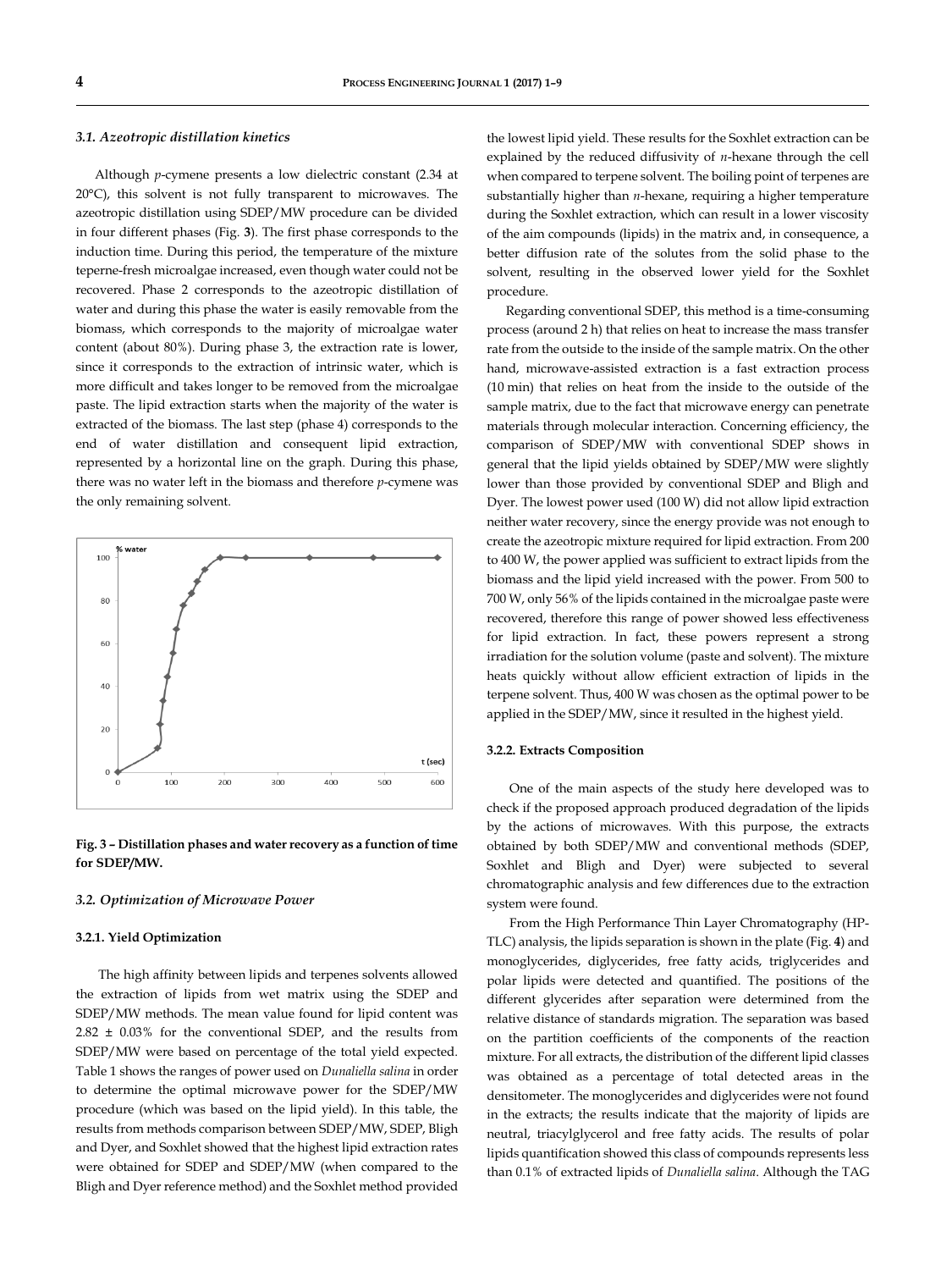## *3.1. Azeotropic distillation kinetics*

Although *p*-cymene presents a low dielectric constant (2.34 at 20°C), this solvent is not fully transparent to microwaves. The azeotropic distillation using SDEP/MW procedure can be divided in four different phases (Fig. **3**). The first phase corresponds to the induction time. During this period, the temperature of the mixture teperne-fresh microalgae increased, even though water could not be recovered. Phase 2 corresponds to the azeotropic distillation of water and during this phase the water is easily removable from the biomass, which corresponds to the majority of microalgae water content (about 80%). During phase 3, the extraction rate is lower, since it corresponds to the extraction of intrinsic water, which is more difficult and takes longer to be removed from the microalgae paste. The lipid extraction starts when the majority of the water is extracted of the biomass. The last step (phase 4) corresponds to the end of water distillation and consequent lipid extraction, represented by a horizontal line on the graph. During this phase, there was no water left in the biomass and therefore *p*-cymene was the only remaining solvent.



**Fig. 3 – Distillation phases and water recovery as a function of time for SDEP/MW.**

## *3.2. Optimization of Microwave Power*

#### **3.2.1. Yield Optimization**

The high affinity between lipids and terpenes solvents allowed the extraction of lipids from wet matrix using the SDEP and SDEP/MW methods. The mean value found for lipid content was 2.82 ± 0.03% for the conventional SDEP, and the results from SDEP/MW were based on percentage of the total yield expected. Table 1 shows the ranges of power used on *Dunaliella salina* in order to determine the optimal microwave power for the SDEP/MW procedure (which was based on the lipid yield). In this table, the results from methods comparison between SDEP/MW, SDEP, Bligh and Dyer, and Soxhlet showed that the highest lipid extraction rates were obtained for SDEP and SDEP/MW (when compared to the Bligh and Dyer reference method) and the Soxhlet method provided

the lowest lipid yield. These results for the Soxhlet extraction can be explained by the reduced diffusivity of *n*-hexane through the cell when compared to terpene solvent. The boiling point of terpenes are substantially higher than *n*-hexane, requiring a higher temperature during the Soxhlet extraction, which can result in a lower viscosity of the aim compounds (lipids) in the matrix and, in consequence, a better diffusion rate of the solutes from the solid phase to the solvent, resulting in the observed lower yield for the Soxhlet procedure.

Regarding conventional SDEP, this method is a time-consuming process (around 2 h) that relies on heat to increase the mass transfer rate from the outside to the inside of the sample matrix. On the other hand, microwave-assisted extraction is a fast extraction process (10 min) that relies on heat from the inside to the outside of the sample matrix, due to the fact that microwave energy can penetrate materials through molecular interaction. Concerning efficiency, the comparison of SDEP/MW with conventional SDEP shows in general that the lipid yields obtained by SDEP/MW were slightly lower than those provided by conventional SDEP and Bligh and Dyer. The lowest power used (100 W) did not allow lipid extraction neither water recovery, since the energy provide was not enough to create the azeotropic mixture required for lipid extraction. From 200 to 400 W, the power applied was sufficient to extract lipids from the biomass and the lipid yield increased with the power. From 500 to 700 W, only 56% of the lipids contained in the microalgae paste were recovered, therefore this range of power showed less effectiveness for lipid extraction. In fact, these powers represent a strong irradiation for the solution volume (paste and solvent). The mixture heats quickly without allow efficient extraction of lipids in the terpene solvent. Thus, 400 W was chosen as the optimal power to be applied in the SDEP/MW, since it resulted in the highest yield.

#### **3.2.2. Extracts Composition**

One of the main aspects of the study here developed was to check if the proposed approach produced degradation of the lipids by the actions of microwaves. With this purpose, the extracts obtained by both SDEP/MW and conventional methods (SDEP, Soxhlet and Bligh and Dyer) were subjected to several chromatographic analysis and few differences due to the extraction system were found.

From the High Performance Thin Layer Chromatography (HP-TLC) analysis, the lipids separation is shown in the plate (Fig. **4**) and monoglycerides, diglycerides, free fatty acids, triglycerides and polar lipids were detected and quantified. The positions of the different glycerides after separation were determined from the relative distance of standards migration. The separation was based on the partition coefficients of the components of the reaction mixture. For all extracts, the distribution of the different lipid classes was obtained as a percentage of total detected areas in the densitometer. The monoglycerides and diglycerides were not found in the extracts; the results indicate that the majority of lipids are neutral, triacylglycerol and free fatty acids. The results of polar lipids quantification showed this class of compounds represents less than 0.1% of extracted lipids of *Dunaliella salina*. Although the TAG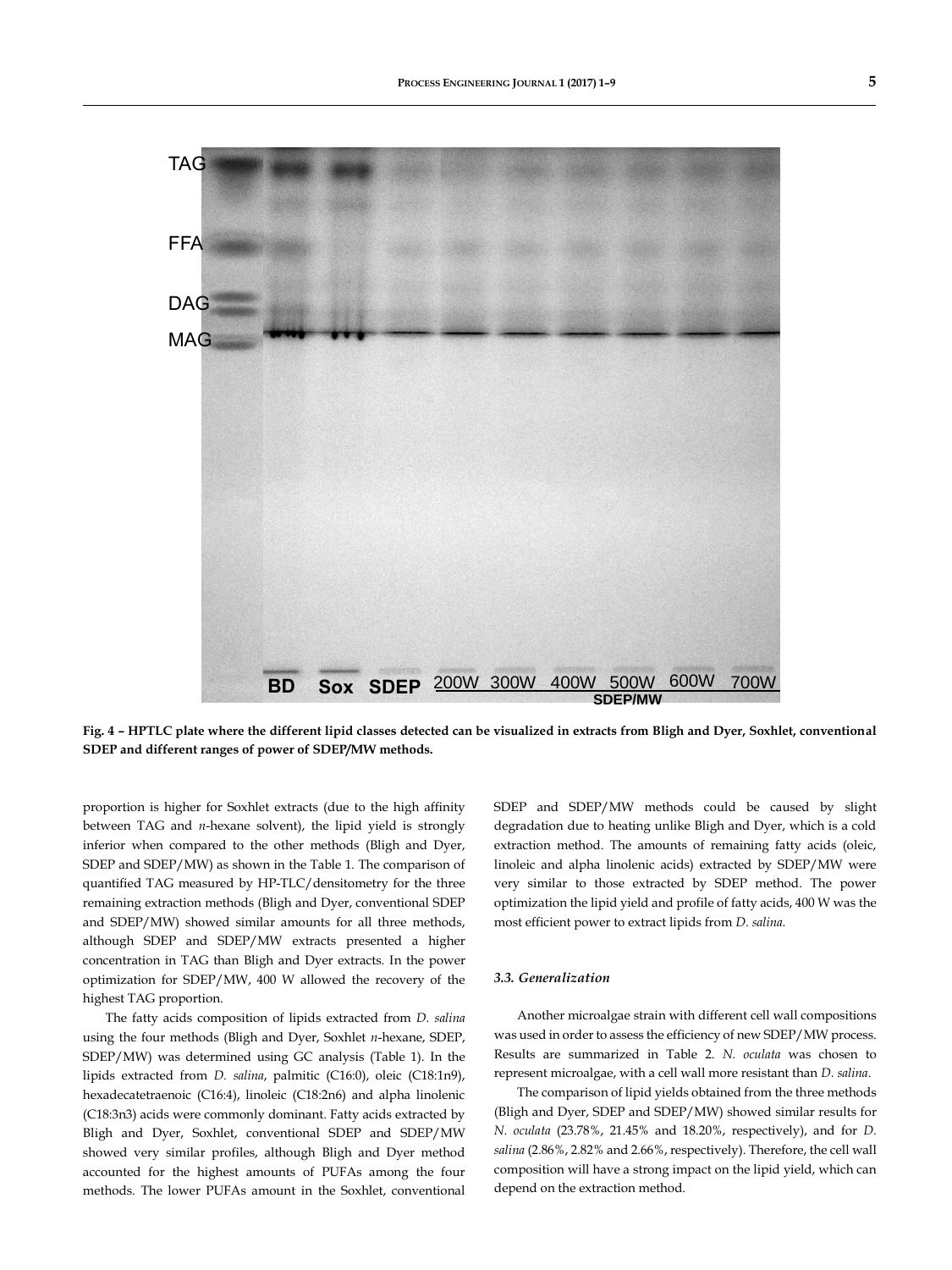

**Fig. 4 – HPTLC plate where the different lipid classes detected can be visualized in extracts from Bligh and Dyer, Soxhlet, conventional SDEP and different ranges of power of SDEP/MW methods.**

proportion is higher for Soxhlet extracts (due to the high affinity between TAG and *n*-hexane solvent), the lipid yield is strongly inferior when compared to the other methods (Bligh and Dyer, SDEP and SDEP/MW) as shown in the Table 1. The comparison of quantified TAG measured by HP-TLC/densitometry for the three remaining extraction methods (Bligh and Dyer, conventional SDEP and SDEP/MW) showed similar amounts for all three methods, although SDEP and SDEP/MW extracts presented a higher concentration in TAG than Bligh and Dyer extracts. In the power optimization for SDEP/MW, 400 W allowed the recovery of the highest TAG proportion.

The fatty acids composition of lipids extracted from *D. salina* using the four methods (Bligh and Dyer, Soxhlet *n*-hexane, SDEP, SDEP/MW) was determined using GC analysis (Table 1). In the lipids extracted from *D. salina*, palmitic (C16:0), oleic (C18:1n9), hexadecatetraenoic (C16:4), linoleic (C18:2n6) and alpha linolenic (C18:3n3) acids were commonly dominant. Fatty acids extracted by Bligh and Dyer, Soxhlet, conventional SDEP and SDEP/MW showed very similar profiles, although Bligh and Dyer method accounted for the highest amounts of PUFAs among the four methods. The lower PUFAs amount in the Soxhlet, conventional SDEP and SDEP/MW methods could be caused by slight degradation due to heating unlike Bligh and Dyer, which is a cold extraction method. The amounts of remaining fatty acids (oleic, linoleic and alpha linolenic acids) extracted by SDEP/MW were very similar to those extracted by SDEP method. The power optimization the lipid yield and profile of fatty acids, 400 W was the most efficient power to extract lipids from *D. salina.*

# *3.3. Generalization*

Another microalgae strain with different cell wall compositions was used in order to assess the efficiency of new SDEP/MW process. Results are summarized in Table 2. *N. oculata* was chosen to represent microalgae, with a cell wall more resistant than *D. salina*.

The comparison of lipid yields obtained from the three methods (Bligh and Dyer, SDEP and SDEP/MW) showed similar results for *N. oculata* (23.78%, 21.45% and 18.20%, respectively), and for *D. salina* (2.86%, 2.82% and 2.66%, respectively). Therefore, the cell wall composition will have a strong impact on the lipid yield, which can depend on the extraction method.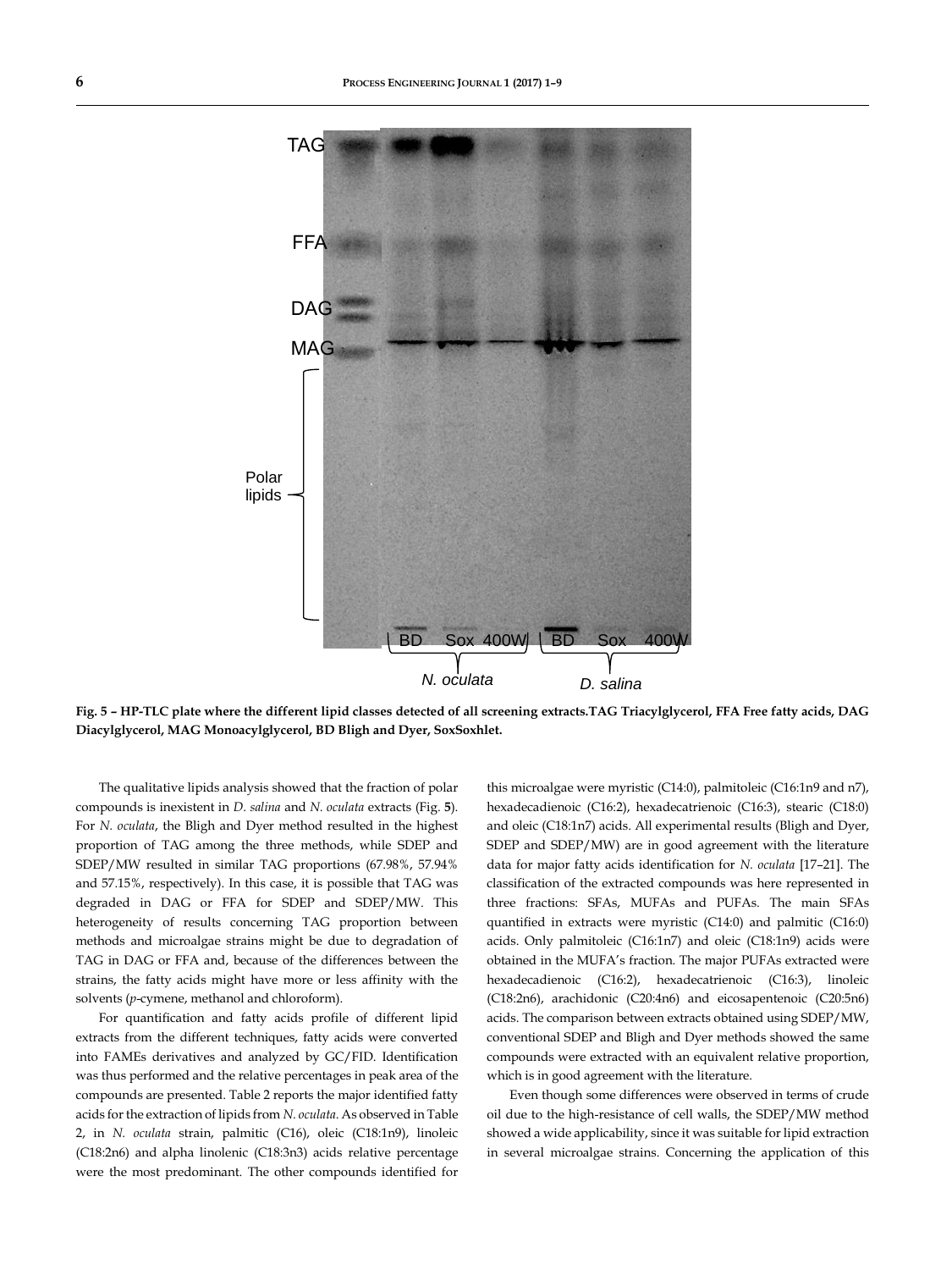

**Fig. 5 – HP-TLC plate where the different lipid classes detected of all screening extracts.TAG Triacylglycerol, FFA Free fatty acids, DAG Diacylglycerol, MAG Monoacylglycerol, BD Bligh and Dyer, SoxSoxhlet.**

The qualitative lipids analysis showed that the fraction of polar compounds is inexistent in *D. salina* and *N. oculata* extracts (Fig. **5**). For *N. oculata*, the Bligh and Dyer method resulted in the highest proportion of TAG among the three methods, while SDEP and SDEP/MW resulted in similar TAG proportions (67.98%, 57.94% and 57.15%, respectively). In this case, it is possible that TAG was degraded in DAG or FFA for SDEP and SDEP/MW. This heterogeneity of results concerning TAG proportion between methods and microalgae strains might be due to degradation of TAG in DAG or FFA and, because of the differences between the strains, the fatty acids might have more or less affinity with the solvents (*p*-cymene, methanol and chloroform).

For quantification and fatty acids profile of different lipid extracts from the different techniques, fatty acids were converted into FAMEs derivatives and analyzed by GC/FID. Identification was thus performed and the relative percentages in peak area of the compounds are presented. Table 2 reports the major identified fatty acids for the extraction of lipids from *N. oculata*. As observed in Table 2, in *N. oculata* strain, palmitic (C16), oleic (C18:1n9), linoleic (C18:2n6) and alpha linolenic (C18:3n3) acids relative percentage were the most predominant. The other compounds identified for

this microalgae were myristic (C14:0), palmitoleic (C16:1n9 and n7), hexadecadienoic (C16:2), hexadecatrienoic (C16:3), stearic (C18:0) and oleic (C18:1n7) acids. All experimental results (Bligh and Dyer, SDEP and SDEP/MW) are in good agreement with the literature data for major fatty acids identification for *N. oculata* [17–21]. The classification of the extracted compounds was here represented in three fractions: SFAs, MUFAs and PUFAs. The main SFAs quantified in extracts were myristic (C14:0) and palmitic (C16:0) acids. Only palmitoleic (C16:1n7) and oleic (C18:1n9) acids were obtained in the MUFA's fraction. The major PUFAs extracted were hexadecadienoic (C16:2), hexadecatrienoic (C16:3), linoleic (C18:2n6), arachidonic (C20:4n6) and eicosapentenoic (C20:5n6) acids. The comparison between extracts obtained using SDEP/MW, conventional SDEP and Bligh and Dyer methods showed the same compounds were extracted with an equivalent relative proportion, which is in good agreement with the literature.

Even though some differences were observed in terms of crude oil due to the high-resistance of cell walls, the SDEP/MW method showed a wide applicability, since it was suitable for lipid extraction in several microalgae strains. Concerning the application of this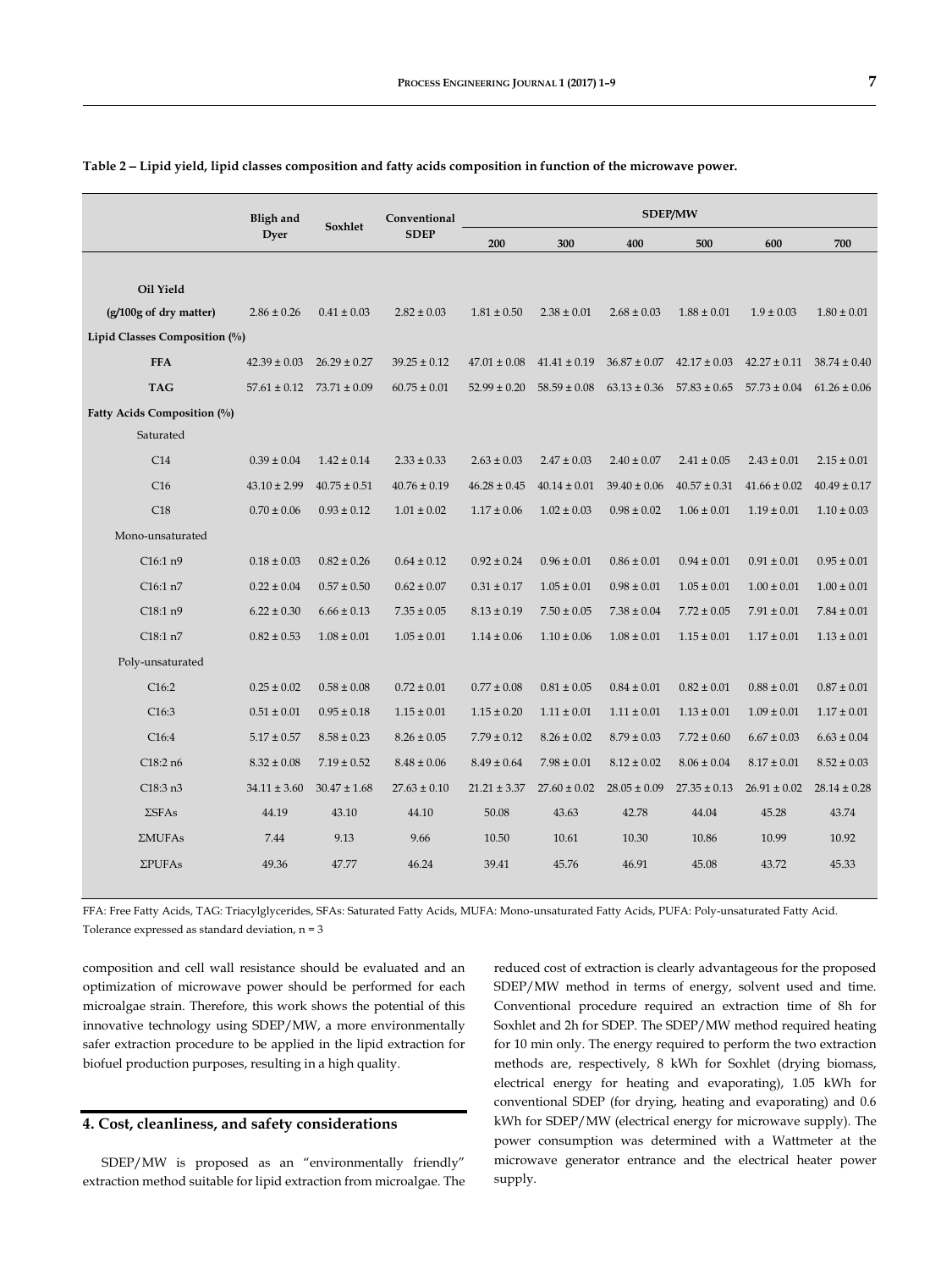|                               | <b>Bligh and</b> |                                   | Conventional     | <b>SDEP/MW</b>   |                  |                  |                  |                  |                  |
|-------------------------------|------------------|-----------------------------------|------------------|------------------|------------------|------------------|------------------|------------------|------------------|
|                               | Dyer             | Soxhlet                           | <b>SDEP</b>      | 200              | 300              | 400              | 500              | 600              | 700              |
|                               |                  |                                   |                  |                  |                  |                  |                  |                  |                  |
| Oil Yield                     |                  |                                   |                  |                  |                  |                  |                  |                  |                  |
| (g/100g of dry matter)        | $2.86 \pm 0.26$  | $0.41 \pm 0.03$                   | $2.82 \pm 0.03$  | $1.81 \pm 0.50$  | $2.38 \pm 0.01$  | $2.68 \pm 0.03$  | $1.88 \pm 0.01$  | $1.9 \pm 0.03$   | $1.80 \pm 0.01$  |
| Lipid Classes Composition (%) |                  |                                   |                  |                  |                  |                  |                  |                  |                  |
| <b>FFA</b>                    | $42.39 \pm 0.03$ | $26.29 \pm 0.27$                  | $39.25 \pm 0.12$ | $47.01 \pm 0.08$ | $41.41 \pm 0.19$ | $36.87 \pm 0.07$ | $42.17 \pm 0.03$ | $42.27 \pm 0.11$ | $38.74 \pm 0.40$ |
| <b>TAG</b>                    |                  | $57.61 \pm 0.12$ $73.71 \pm 0.09$ | $60.75 \pm 0.01$ | $52.99 \pm 0.20$ | $58.59 \pm 0.08$ | $63.13 \pm 0.36$ | $57.83 \pm 0.65$ | $57.73 \pm 0.04$ | $61.26 \pm 0.06$ |
| Fatty Acids Composition (%)   |                  |                                   |                  |                  |                  |                  |                  |                  |                  |
| Saturated                     |                  |                                   |                  |                  |                  |                  |                  |                  |                  |
| C14                           | $0.39 \pm 0.04$  | $1.42 \pm 0.14$                   | $2.33 \pm 0.33$  | $2.63 \pm 0.03$  | $2.47 \pm 0.03$  | $2.40 \pm 0.07$  | $2.41 \pm 0.05$  | $2.43 \pm 0.01$  | $2.15 \pm 0.01$  |
| C16                           | $43.10 \pm 2.99$ | $40.75 \pm 0.51$                  | $40.76 \pm 0.19$ | $46.28 \pm 0.45$ | $40.14 \pm 0.01$ | $39.40 \pm 0.06$ | $40.57 \pm 0.31$ | $41.66 \pm 0.02$ | $40.49 \pm 0.17$ |
| C18                           | $0.70 \pm 0.06$  | $0.93 \pm 0.12$                   | $1.01 \pm 0.02$  | $1.17 \pm 0.06$  | $1.02 \pm 0.03$  | $0.98 \pm 0.02$  | $1.06 \pm 0.01$  | $1.19 \pm 0.01$  | $1.10 \pm 0.03$  |
| Mono-unsaturated              |                  |                                   |                  |                  |                  |                  |                  |                  |                  |
| C16:1n9                       | $0.18 \pm 0.03$  | $0.82 \pm 0.26$                   | $0.64 \pm 0.12$  | $0.92 \pm 0.24$  | $0.96 \pm 0.01$  | $0.86 \pm 0.01$  | $0.94 \pm 0.01$  | $0.91 \pm 0.01$  | $0.95 \pm 0.01$  |
| C16:1 n7                      | $0.22 \pm 0.04$  | $0.57 \pm 0.50$                   | $0.62 \pm 0.07$  | $0.31 \pm 0.17$  | $1.05 \pm 0.01$  | $0.98 \pm 0.01$  | $1.05 \pm 0.01$  | $1.00 \pm 0.01$  | $1.00 \pm 0.01$  |
| C18:1 n9                      | $6.22 \pm 0.30$  | $6.66 \pm 0.13$                   | $7.35 \pm 0.05$  | $8.13 \pm 0.19$  | $7.50 \pm 0.05$  | $7.38 \pm 0.04$  | $7.72 \pm 0.05$  | $7.91 \pm 0.01$  | $7.84 \pm 0.01$  |
| C18:1 n7                      | $0.82 \pm 0.53$  | $1.08 \pm 0.01$                   | $1.05 \pm 0.01$  | $1.14 \pm 0.06$  | $1.10 \pm 0.06$  | $1.08 \pm 0.01$  | $1.15 \pm 0.01$  | $1.17 \pm 0.01$  | $1.13 \pm 0.01$  |
| Poly-unsaturated              |                  |                                   |                  |                  |                  |                  |                  |                  |                  |
| C16:2                         | $0.25 \pm 0.02$  | $0.58 \pm 0.08$                   | $0.72 \pm 0.01$  | $0.77 \pm 0.08$  | $0.81 \pm 0.05$  | $0.84 \pm 0.01$  | $0.82 \pm 0.01$  | $0.88 \pm 0.01$  | $0.87 \pm 0.01$  |
| C16:3                         | $0.51 \pm 0.01$  | $0.95 \pm 0.18$                   | $1.15 \pm 0.01$  | $1.15 \pm 0.20$  | $1.11 \pm 0.01$  | $1.11 \pm 0.01$  | $1.13 \pm 0.01$  | $1.09 \pm 0.01$  | $1.17 \pm 0.01$  |
| C16:4                         | $5.17 \pm 0.57$  | $8.58 \pm 0.23$                   | $8.26 \pm 0.05$  | $7.79 \pm 0.12$  | $8.26 \pm 0.02$  | $8.79 \pm 0.03$  | $7.72 \pm 0.60$  | $6.67 \pm 0.03$  | $6.63 \pm 0.04$  |
| C18:2 n6                      | $8.32 \pm 0.08$  | $7.19 \pm 0.52$                   | $8.48 \pm 0.06$  | $8.49 \pm 0.64$  | $7.98 \pm 0.01$  | $8.12 \pm 0.02$  | $8.06 \pm 0.04$  | $8.17 \pm 0.01$  | $8.52 \pm 0.03$  |
| C18:3 n3                      | $34.11 \pm 3.60$ | $30.47 \pm 1.68$                  | $27.63 \pm 0.10$ | $21.21 \pm 3.37$ | $27.60 \pm 0.02$ | $28.05 \pm 0.09$ | $27.35 \pm 0.13$ | $26.91 \pm 0.02$ | $28.14 \pm 0.28$ |
| $\Sigma$ SFAs                 | 44.19            | 43.10                             | 44.10            | 50.08            | 43.63            | 42.78            | 44.04            | 45.28            | 43.74            |
| <b>ΣMUFAs</b>                 | 7.44             | 9.13                              | 9.66             | 10.50            | 10.61            | 10.30            | 10.86            | 10.99            | 10.92            |
| $\Sigma$ PUFAs                | 49.36            | 47.77                             | 46.24            | 39.41            | 45.76            | 46.91            | 45.08            | 43.72            | 45.33            |

**Table 2 Lipid yield, lipid classes composition and fatty acids composition in function of the microwave power.**

FFA: Free Fatty Acids, TAG: Triacylglycerides, SFAs: Saturated Fatty Acids, MUFA: Mono-unsaturated Fatty Acids, PUFA: Poly-unsaturated Fatty Acid. Tolerance expressed as standard deviation, n = 3

composition and cell wall resistance should be evaluated and an optimization of microwave power should be performed for each microalgae strain. Therefore, this work shows the potential of this innovative technology using SDEP/MW, a more environmentally safer extraction procedure to be applied in the lipid extraction for biofuel production purposes, resulting in a high quality.

# **4. Cost, cleanliness, and safety considerations**

SDEP/MW is proposed as an "environmentally friendly" extraction method suitable for lipid extraction from microalgae. The reduced cost of extraction is clearly advantageous for the proposed SDEP/MW method in terms of energy, solvent used and time. Conventional procedure required an extraction time of 8h for Soxhlet and 2h for SDEP. The SDEP/MW method required heating for 10 min only. The energy required to perform the two extraction methods are, respectively, 8 kWh for Soxhlet (drying biomass, electrical energy for heating and evaporating), 1.05 kWh for conventional SDEP (for drying, heating and evaporating) and 0.6 kWh for SDEP/MW (electrical energy for microwave supply). The power consumption was determined with a Wattmeter at the microwave generator entrance and the electrical heater power supply.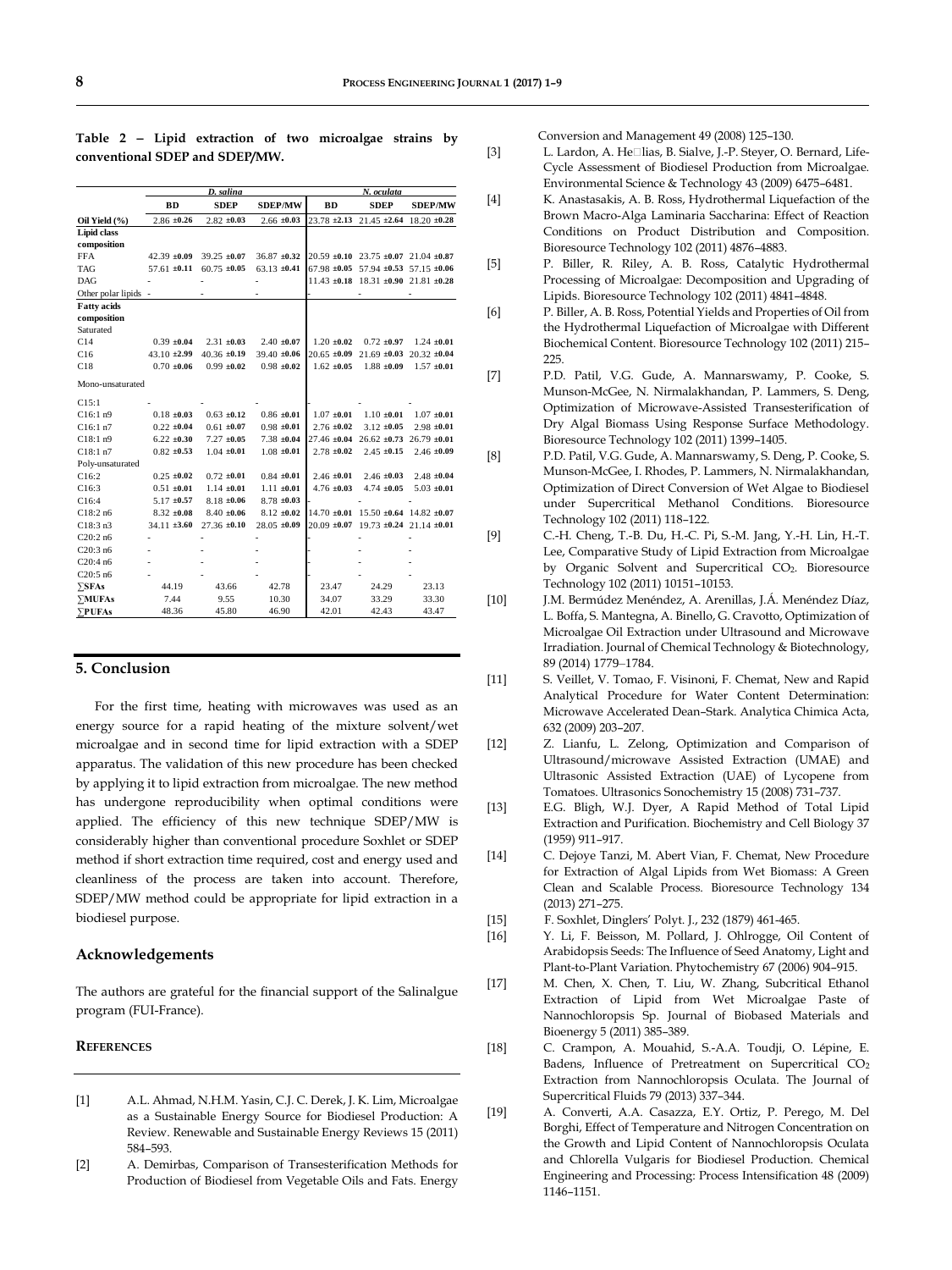|                      |                  | D. salina        |                  | N. oculata       |                                                    |                  |  |  |
|----------------------|------------------|------------------|------------------|------------------|----------------------------------------------------|------------------|--|--|
|                      | <b>BD</b>        | <b>SDEP</b>      | <b>SDEP/MW</b>   | <b>BD</b>        | <b>SDEP</b>                                        | <b>SDEP/MW</b>   |  |  |
| Oil Yield (%)        | $2.86 \pm 0.26$  | $2.82 \pm 0.03$  | $2.66 \pm 0.03$  | $23.78 \pm 2.13$ | $21.45 \pm 2.64$                                   | $18.20 \pm 0.28$ |  |  |
| <b>Lipid class</b>   |                  |                  |                  |                  |                                                    |                  |  |  |
| composition          |                  |                  |                  |                  |                                                    |                  |  |  |
| <b>FFA</b>           | $42.39 \pm 0.09$ | $39.25 \pm 0.07$ | $36.87 \pm 0.32$ |                  | $20.59 \pm 0.10$ 23.75 $\pm 0.07$ 21.04 $\pm 0.87$ |                  |  |  |
| <b>TAG</b>           | $57.61 \pm 0.11$ | $60.75 \pm 0.05$ | $63.13 \pm 0.41$ |                  | 67.98 ±0.05 57.94 ±0.53 57.15 ±0.06                |                  |  |  |
| DAG                  |                  |                  |                  |                  | $11.43 \pm 0.18$ 18.31 $\pm 0.90$ 21.81 $\pm 0.28$ |                  |  |  |
| Other polar lipids - |                  |                  |                  |                  |                                                    |                  |  |  |
| <b>Fatty</b> acids   |                  |                  |                  |                  |                                                    |                  |  |  |
| composition          |                  |                  |                  |                  |                                                    |                  |  |  |
| Saturated            |                  |                  |                  |                  |                                                    |                  |  |  |
| C14                  | $0.39 \pm 0.04$  | $2.31 \pm 0.03$  | $2.40 \pm 0.07$  | $1.20 \pm 0.02$  | $0.72 \pm 0.97$                                    | $1.24 \pm 0.01$  |  |  |
| C16                  | $43.10 \pm 2.99$ | $40.36 \pm 0.19$ | $39.40 \pm 0.06$ |                  | $20.65 \pm 0.09$ 21.69 $\pm 0.03$ 20.32 $\pm 0.04$ |                  |  |  |
| C18                  | $0.70 \pm 0.06$  | $0.99 + 0.02$    | $0.98 \pm 0.02$  | $1.62 \pm 0.05$  | $1.88 \pm 0.09$                                    | $1.57 \pm 0.01$  |  |  |
| Mono-unsaturated     |                  |                  |                  |                  |                                                    |                  |  |  |
| C15:1                |                  |                  |                  |                  |                                                    |                  |  |  |
| C16:1n9              | $0.18 \pm 0.03$  | $0.63 \pm 0.12$  | $0.86 \pm 0.01$  | $1.07 \pm 0.01$  | $1.10 \pm 0.01$                                    | $1.07 \pm 0.01$  |  |  |
| C16:1n7              | $0.22 \pm 0.04$  | $0.61 + 0.07$    | $0.98 \pm 0.01$  | $2.76 \pm 0.02$  | $3.12 \pm 0.05$                                    | $2.98 \pm 0.01$  |  |  |
| C18:1n9              | $6.22 \pm 0.30$  | $7.27 \pm 0.05$  | $7.38 \pm 0.04$  |                  | $27.46 \pm 0.04$ 26.62 $\pm 0.73$ 26.79 $\pm 0.01$ |                  |  |  |
| C18:1n7              | $0.82 \pm 0.53$  | $1.04 \pm 0.01$  | $1.08 \pm 0.01$  | $2.78 \pm 0.02$  | $2.45 \pm 0.15$                                    | $2.46 \pm 0.09$  |  |  |
| Poly-unsaturated     |                  |                  |                  |                  |                                                    |                  |  |  |
| C16:2                | $0.25 \pm 0.02$  | $0.72 \pm 0.01$  | $0.84 \pm 0.01$  | $2.46 \pm 0.01$  | $2.46 \pm 0.03$                                    | $2.48 \pm 0.04$  |  |  |
| C16:3                | $0.51 \pm 0.01$  | $1.14 \pm 0.01$  | $1.11 \pm 0.01$  | $4.76 \pm 0.03$  | $4.74 \pm 0.05$                                    | $5.03 \pm 0.01$  |  |  |
| C16:4                | $5.17 \pm 0.57$  | $8.18 \pm 0.06$  | $8.78 \pm 0.03$  |                  |                                                    |                  |  |  |
| C18:2n6              | $8.32 \pm 0.08$  | $8.40 \pm 0.06$  | $8.12 \pm 0.02$  |                  | $14.70 \pm 0.01$ 15.50 $\pm 0.64$ 14.82 $\pm 0.07$ |                  |  |  |
| C18:3n3              | $34.11 \pm 3.60$ | $27.36 \pm 0.10$ | $28.05 \pm 0.09$ |                  | $20.09 \pm 0.07$ 19.73 $\pm 0.24$ 21.14 $\pm 0.01$ |                  |  |  |
| C20:2n6              |                  |                  |                  |                  |                                                    |                  |  |  |
| C20:3n6              |                  |                  |                  |                  |                                                    |                  |  |  |
| C20:4n6              |                  |                  |                  |                  |                                                    |                  |  |  |
| C20:5n6              |                  |                  |                  |                  |                                                    |                  |  |  |
| $\Sigma$ SFAs        | 44.19            | 43.66            | 42.78            | 23.47            | 24.29                                              | 23.13            |  |  |
| $\Sigma$ MUFAs       | 7.44             | 9.55             | 10.30            | 34.07            | 33.29                                              | 33.30            |  |  |
| <b>&gt;PUFAs</b>     | 48.36            | 45.80            | 46.90            | 42.01            | 42.43                                              | 43.47            |  |  |

**Table 2 Lipid extraction of two microalgae strains by conventional SDEP and SDEP/MW.**

## **5. Conclusion**

For the first time, heating with microwaves was used as an energy source for a rapid heating of the mixture solvent/wet microalgae and in second time for lipid extraction with a SDEP apparatus. The validation of this new procedure has been checked by applying it to lipid extraction from microalgae. The new method has undergone reproducibility when optimal conditions were applied. The efficiency of this new technique SDEP/MW is considerably higher than conventional procedure Soxhlet or SDEP method if short extraction time required, cost and energy used and cleanliness of the process are taken into account. Therefore, SDEP/MW method could be appropriate for lipid extraction in a biodiesel purpose.

# **Acknowledgements**

The authors are grateful for the financial support of the Salinalgue program (FUI-France).

# **REFERENCES**

- [1] A.L. Ahmad, N.H.M. Yasin, C.J. C. Derek, J. K. Lim, Microalgae as a Sustainable Energy Source for Biodiesel Production: A Review. Renewable and Sustainable Energy Reviews 15 (2011) 584–593.
- [2] A. Demirbas, Comparison of Transesterification Methods for Production of Biodiesel from Vegetable Oils and Fats. Energy

Conversion and Management 49 (2008) 125–130.

- [3] L. Lardon, A. He□lias, B. Sialve, J.-P. Steyer, O. Bernard, Life-Cycle Assessment of Biodiesel Production from Microalgae. Environmental Science & Technology 43 (2009) 6475–6481.
- [4] K. Anastasakis, A. B. Ross, Hydrothermal Liquefaction of the Brown Macro-Alga Laminaria Saccharina: Effect of Reaction Conditions on Product Distribution and Composition. Bioresource Technology 102 (2011) 4876–4883.
- [5] P. Biller, R. Riley, A. B. Ross, Catalytic Hydrothermal Processing of Microalgae: Decomposition and Upgrading of Lipids. Bioresource Technology 102 (2011) 4841–4848.
- [6] P. Biller, A. B. Ross, Potential Yields and Properties of Oil from the Hydrothermal Liquefaction of Microalgae with Different Biochemical Content. Bioresource Technology 102 (2011) 215– 225.
- [7] P.D. Patil, V.G. Gude, A. Mannarswamy, P. Cooke, S. Munson-McGee, N. Nirmalakhandan, P. Lammers, S. Deng, Optimization of Microwave-Assisted Transesterification of Dry Algal Biomass Using Response Surface Methodology. Bioresource Technology 102 (2011) 1399–1405.
- [8] P.D. Patil, V.G. Gude, A. Mannarswamy, S. Deng, P. Cooke, S. Munson-McGee, I. Rhodes, P. Lammers, N. Nirmalakhandan, Optimization of Direct Conversion of Wet Algae to Biodiesel under Supercritical Methanol Conditions. Bioresource Technology 102 (2011) 118–122.
- [9] C.-H. Cheng, T.-B. Du, H.-C. Pi, S.-M. Jang, Y.-H. Lin, H.-T. Lee, Comparative Study of Lipid Extraction from Microalgae by Organic Solvent and Supercritical CO2. Bioresource Technology 102 (2011) 10151–10153.
- [10] J.M. Bermúdez Menéndez, A. Arenillas, J.Á. Menéndez Díaz, L. Boffa, S. Mantegna, A. Binello, G. Cravotto, Optimization of Microalgae Oil Extraction under Ultrasound and Microwave Irradiation. Journal of Chemical Technology & Biotechnology, 89 (2014) 1779–1784.
- [11] S. Veillet, V. Tomao, F. Visinoni, F. Chemat, New and Rapid Analytical Procedure for Water Content Determination: Microwave Accelerated Dean–Stark. Analytica Chimica Acta, 632 (2009) 203–207.
- [12] Z. Lianfu, L. Zelong, Optimization and Comparison of Ultrasound/microwave Assisted Extraction (UMAE) and Ultrasonic Assisted Extraction (UAE) of Lycopene from Tomatoes. Ultrasonics Sonochemistry 15 (2008) 731–737.
- [13] E.G. Bligh, W.J. Dyer, A Rapid Method of Total Lipid Extraction and Purification. Biochemistry and Cell Biology 37 (1959) 911–917.
- [14] C. Dejoye Tanzi, M. Abert Vian, F. Chemat, New Procedure for Extraction of Algal Lipids from Wet Biomass: A Green Clean and Scalable Process. Bioresource Technology 134 (2013) 271–275.
- [15] F. Soxhlet, Dinglers' Polyt. J., 232 (1879) 461-465.
- [16] Y. Li, F. Beisson, M. Pollard, J. Ohlrogge, Oil Content of Arabidopsis Seeds: The Influence of Seed Anatomy, Light and Plant-to-Plant Variation. Phytochemistry 67 (2006) 904–915.
- [17] M. Chen, X. Chen, T. Liu, W. Zhang, Subcritical Ethanol Extraction of Lipid from Wet Microalgae Paste of Nannochloropsis Sp. Journal of Biobased Materials and Bioenergy 5 (2011) 385–389.
- [18] C. Crampon, A. Mouahid, S.-A.A. Toudji, O. Lépine, E. Badens, Influence of Pretreatment on Supercritical CO<sub>2</sub> Extraction from Nannochloropsis Oculata. The Journal of Supercritical Fluids 79 (2013) 337–344.
- [19] A. Converti, A.A. Casazza, E.Y. Ortiz, P. Perego, M. Del Borghi, Effect of Temperature and Nitrogen Concentration on the Growth and Lipid Content of Nannochloropsis Oculata and Chlorella Vulgaris for Biodiesel Production. Chemical Engineering and Processing: Process Intensification 48 (2009) 1146–1151.